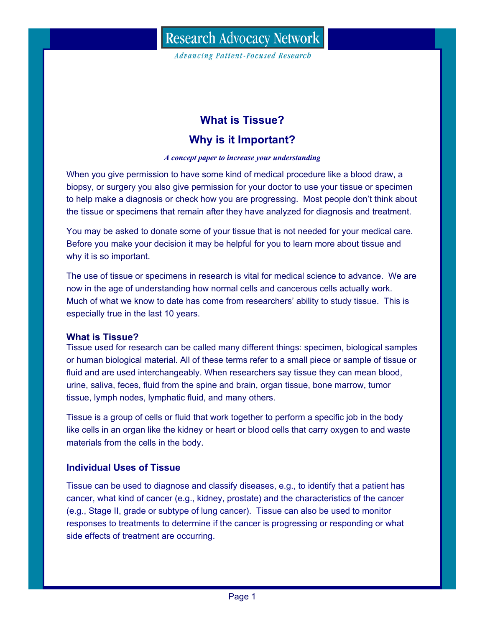**Advancing Patient-Focused Research** 

# **What is Tissue?**

# **Why is it Important?**

#### *A concept paper to increase your understanding*

When you give permission to have some kind of medical procedure like a blood draw, a biopsy, or surgery you also give permission for your doctor to use your tissue or specimen to help make a diagnosis or check how you are progressing. Most people don't think about the tissue or specimens that remain after they have analyzed for diagnosis and treatment.

You may be asked to donate some of your tissue that is not needed for your medical care. Before you make your decision it may be helpful for you to learn more about tissue and why it is so important.

The use of tissue or specimens in research is vital for medical science to advance. We are now in the age of understanding how normal cells and cancerous cells actually work. Much of what we know to date has come from researchers' ability to study tissue. This is especially true in the last 10 years.

## **What is Tissue?**

Tissue used for research can be called many different things: specimen, biological samples or human biological material. All of these terms refer to a small piece or sample of tissue or fluid and are used interchangeably. When researchers say tissue they can mean blood, urine, saliva, feces, fluid from the spine and brain, organ tissue, bone marrow, tumor tissue, lymph nodes, lymphatic fluid, and many others.

Tissue is a group of cells or fluid that work together to perform a specific job in the body like cells in an organ like the kidney or heart or blood cells that carry oxygen to and waste materials from the cells in the body.

## **Individual Uses of Tissue**

Tissue can be used to diagnose and classify diseases, e.g., to identify that a patient has cancer, what kind of cancer (e.g., kidney, prostate) and the characteristics of the cancer (e.g., Stage II, grade or subtype of lung cancer). Tissue can also be used to monitor responses to treatments to determine if the cancer is progressing or responding or what side effects of treatment are occurring.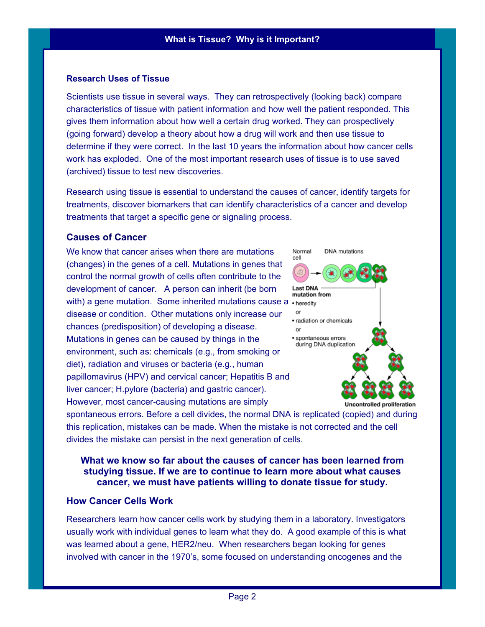#### **Research Uses of Tissue**

Scientists use tissue in several ways. They can retrospectively (looking back) compare characteristics of tissue with patient information and how well the patient responded. This gives them information about how well a certain drug worked. They can prospectively (going forward) develop a theory about how a drug will work and then use tissue to determine if they were correct. In the last 10 years the information about how cancer cells work has exploded. One of the most important research uses of tissue is to use saved (archived) tissue to test new discoveries.

Research using tissue is essential to understand the causes of cancer, identify targets for treatments, discover biomarkers that can identify characteristics of a cancer and develop treatments that target a specific gene or signaling process.

### **Causes of Cancer**

We know that cancer arises when there are mutations (changes) in the genes of a cell. Mutations in genes that control the normal growth of cells often contribute to the development of cancer. A person can inherit (be born with) a gene mutation. Some inherited mutations cause a  $\cdot$  heredity disease or condition. Other mutations only increase our chances (predisposition) of developing a disease. Mutations in genes can be caused by things in the environment, such as: chemicals (e.g., from smoking or diet), radiation and viruses or bacteria (e.g., human papillomavirus (HPV) and cervical cancer; Hepatitis B and liver cancer; H.pylore (bacteria) and gastric cancer). However, most cancer-causing mutations are simply



spontaneous errors. Before a cell divides, the normal DNA is replicated (copied) and during this replication, mistakes can be made. When the mistake is not corrected and the cell divides the mistake can persist in the next generation of cells.

## **What we know so far about the causes of cancer has been learned from studying tissue. If we are to continue to learn more about what causes cancer, we must have patients willing to donate tissue for study.**

## **How Cancer Cells Work**

Researchers learn how cancer cells work by studying them in a laboratory. Investigators usually work with individual genes to learn what they do. A good example of this is what was learned about a gene, HER2/neu. When researchers began looking for genes involved with cancer in the 1970's, some focused on understanding oncogenes and the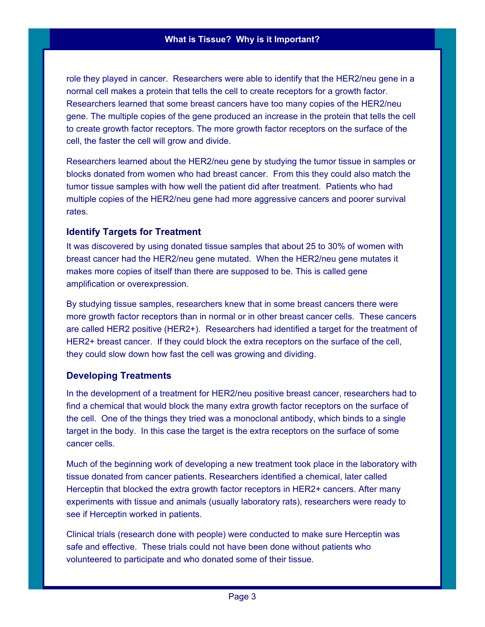role they played in cancer. Researchers were able to identify that the HER2/neu gene in a normal cell makes a protein that tells the cell to create receptors for a growth factor. Researchers learned that some breast cancers have too many copies of the HER2/neu gene. The multiple copies of the gene produced an increase in the protein that tells the cell to create growth factor receptors. The more growth factor receptors on the surface of the cell, the faster the cell will grow and divide.

Researchers learned about the HER2/neu gene by studying the tumor tissue in samples or blocks donated from women who had breast cancer. From this they could also match the tumor tissue samples with how well the patient did after treatment. Patients who had multiple copies of the HER2/neu gene had more aggressive cancers and poorer survival rates.

## **Identify Targets for Treatment**

It was discovered by using donated tissue samples that about 25 to 30% of women with breast cancer had the HER2/neu gene mutated. When the HER2/neu gene mutates it makes more copies of itself than there are supposed to be. This is called gene amplification or overexpression.

By studying tissue samples, researchers knew that in some breast cancers there were more growth factor receptors than in normal or in other breast cancer cells. These cancers are called HER2 positive (HER2+). Researchers had identified a target for the treatment of HER2+ breast cancer. If they could block the extra receptors on the surface of the cell, they could slow down how fast the cell was growing and dividing.

## **Developing Treatments**

In the development of a treatment for HER2/neu positive breast cancer, researchers had to find a chemical that would block the many extra growth factor receptors on the surface of the cell. One of the things they tried was a monoclonal antibody, which binds to a single target in the body. In this case the target is the extra receptors on the surface of some cancer cells.

Much of the beginning work of developing a new treatment took place in the laboratory with tissue donated from cancer patients. Researchers identified a chemical, later called Herceptin that blocked the extra growth factor receptors in HER2+ cancers. After many experiments with tissue and animals (usually laboratory rats), researchers were ready to see if Herceptin worked in patients.

Clinical trials (research done with people) were conducted to make sure Herceptin was safe and effective. These trials could not have been done without patients who volunteered to participate and who donated some of their tissue.